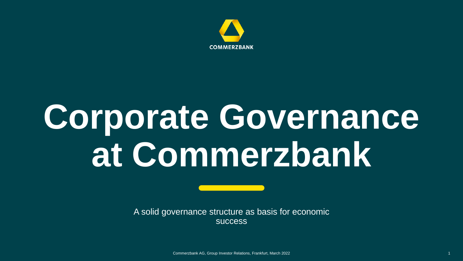

## **Corporate Governance at Commerzbank**

A solid governance structure as basis for economic success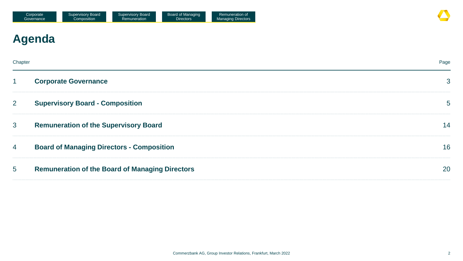## **Agenda**

| Chapter        |                                                        | Page            |
|----------------|--------------------------------------------------------|-----------------|
| $\mathbf 1$    | <b>Corporate Governance</b>                            | $\mathbf{3}$    |
| $\overline{2}$ | <b>Supervisory Board - Composition</b>                 | $5\overline{)}$ |
| 3              | <b>Remuneration of the Supervisory Board</b>           | 14              |
| 4              | <b>Board of Managing Directors - Composition</b>       | 16              |
| 5              | <b>Remuneration of the Board of Managing Directors</b> | 20              |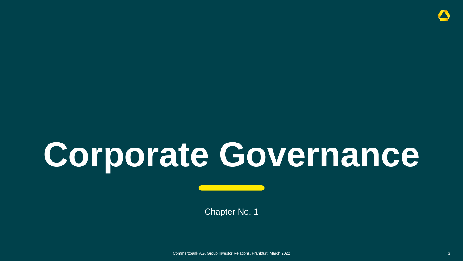## **Corporate Governance**

Chapter No. 1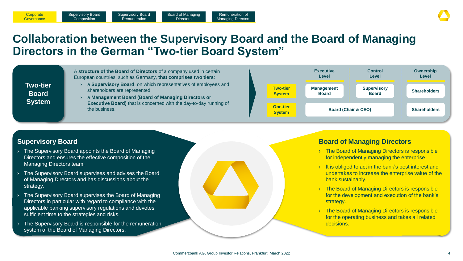## **Collaboration between the Supervisory Board and the Board of Managing Directors in the German "Two-tier Board System"**

Remuneration of Managing Directors

Board of Managing **Directors** 



### **Supervisory Board**

**Corporate Governance** 

› The Supervisory Board appoints the Board of Managing Directors and ensures the effective composition of the Managing Directors team.

Supervisory Board **Composition** 

Supervisory Board **Remuneration** 

- › The Supervisory Board supervises and advises the Board of Managing Directors and has discussions about the strategy.
- The Supervisory Board supervises the Board of Managing Directors in particular with regard to compliance with the applicable banking supervisory regulations and devotes sufficient time to the strategies and risks.
- The Supervisory Board is responsible for the remuneration system of the Board of Managing Directors.

### **Board of Managing Directors**

- › The Board of Managing Directors is responsible for independently managing the enterprise.
- It is obliged to act in the bank's best interest and undertakes to increase the enterprise value of the bank sustainably.
- <sup>></sup> The Board of Managing Directors is responsible for the development and execution of the bank's strategy.
- <sup>></sup> The Board of Managing Directors is responsible for the operating business and takes all related decisions.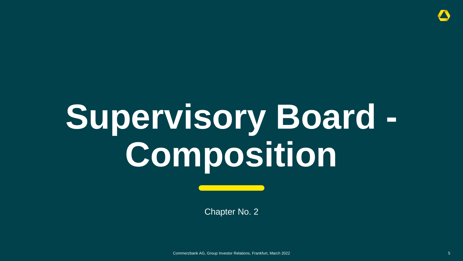# **Supervisory Board - Composition**

Chapter No. 2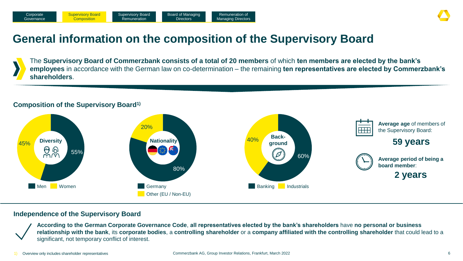## **General information on the composition of the Supervisory Board**

The **Supervisory Board of Commerzbank consists of a total of 20 members** of which **ten members are elected by the bank's employees** in accordance with the German law on co-determination – the remaining **ten representatives are elected by Commerzbank's shareholders**.

### **Composition of the Supervisory Board1)**



### **Independence of the Supervisory Board**

**According to the German Corporate Governance Code**, **all representatives elected by the bank's shareholders** have **no personal or business relationship with the bank**, its **corporate bodies**, a **controlling shareholder** or a **company affiliated with the controlling shareholder** that could lead to a significant, not temporary conflict of interest.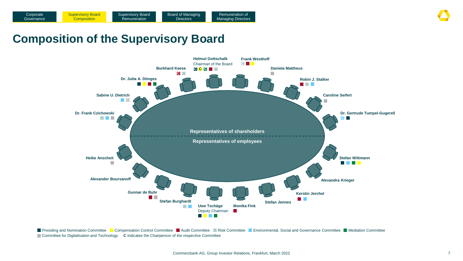## **Composition of the Supervisory Board**



Presiding and Nomination Committee **Compensation Control Committee Committee Committee Committee Committee Committee Committee Committee Committee Committee Committee Committee Committee Committee Committee Committee Commi** Committee for Digitalisation and Technology **C** indicates the Chairperson of the respective Committee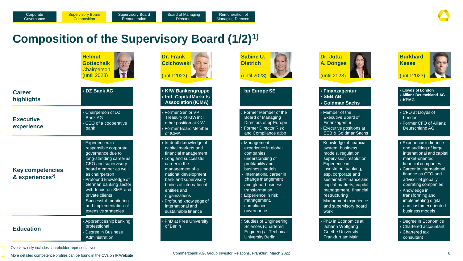## **Composition of the Supervisory Board (1/2)1)**

|                                                        | <b>Helmut</b><br><b>Gottschalk</b><br>Chairperson<br>(until 2023)                                                                                                                                                                                                                                                                | <b>Dr. Frank</b><br><b>Czichowski</b><br>(until 2023)                                                                                                                                                                                                                                                              | Sabine U.<br><b>Dietrich</b><br>(until 2023)                                                                                                                                                                                                                                  | <b>Dr. Jutta</b><br>A. Dönges<br>(until 2023)                                                                                                                                                                                                                                                                                   | <b>Burkhard</b><br><b>Keese</b><br>(until 2023)                                                                                                                                                                                                                                                                              |
|--------------------------------------------------------|----------------------------------------------------------------------------------------------------------------------------------------------------------------------------------------------------------------------------------------------------------------------------------------------------------------------------------|--------------------------------------------------------------------------------------------------------------------------------------------------------------------------------------------------------------------------------------------------------------------------------------------------------------------|-------------------------------------------------------------------------------------------------------------------------------------------------------------------------------------------------------------------------------------------------------------------------------|---------------------------------------------------------------------------------------------------------------------------------------------------------------------------------------------------------------------------------------------------------------------------------------------------------------------------------|------------------------------------------------------------------------------------------------------------------------------------------------------------------------------------------------------------------------------------------------------------------------------------------------------------------------------|
| <b>Career</b><br>highlights                            | <b>DZ Bank AG</b>                                                                                                                                                                                                                                                                                                                | > KfW Bankengruppe<br>> Intl. Capital Markets<br><b>Association (ICMA)</b>                                                                                                                                                                                                                                         | > bp Europe SE                                                                                                                                                                                                                                                                | > Finanzagentur<br>$\rightarrow$ SEB AB<br>> Goldman Sachs                                                                                                                                                                                                                                                                      | <b>Lloyds of London</b><br><b>Allianz Deutschland AG</b><br><b>KPMG</b>                                                                                                                                                                                                                                                      |
| <b>Executive</b><br>experience                         | Chairperson of DZ<br>Bank AG<br>CEO of a cooperative<br>bank                                                                                                                                                                                                                                                                     | Former Senior VP<br>Treasury of KfW incl.<br>other position at KfW<br>Former Board Member<br>of ICMA                                                                                                                                                                                                               | Former Member of the<br><b>Board of Managing</b><br>Directors of bp Europe<br>Former Director Risk<br>and Compliance at bp                                                                                                                                                    | > Member of the<br><b>Executive Board of</b><br>Finanzagentur<br>Executive positions at<br><b>SEB &amp; Goldman Sachs</b>                                                                                                                                                                                                       | CFO at Lloyds of<br>London<br>Former CFO of Allianz<br>Deutschland AG                                                                                                                                                                                                                                                        |
| <b>Key competencies</b><br>& experiences <sup>2)</sup> | Experienced in<br>responsible corporate<br>governance due to<br>long-standing career as<br>CEO and supervisory<br>board member as well<br>as chairperson<br>Profound knowledge of<br>German banking sector<br>with focus on SME and<br>private clients<br>Successful monitoring<br>and implementation of<br>extensive strategies | > In-depth knowledge of<br>capital markets and<br>financial management<br>Long and successful<br>career in the<br>management of a<br>national development<br>bank and supervisory<br>bodies of international<br>entities and<br>organizations<br>Profound knowledge of<br>international and<br>sustainable finance | <b>Management</b><br>experience in global<br>companies,<br>understanding of<br>profitability and<br>business models<br>International career in<br>change mangement<br>and global business<br>transformation<br>Experience in risk<br>management,<br>compliance,<br>governance | > Knowledge of financial<br>system, business<br>models, regulation,<br>supervision, resolution<br><b>Experience in</b><br>investment banking,<br>esp. corporate and<br>sustainable finance and<br>capital markets, capital<br>management, financial<br>restructuring<br>> Managment experience<br>and supervisory board<br>work | Experience in finance<br>and auditing of large<br>international and capital<br>market-oriented<br>financial companies<br>Career in international<br>finance as CFO and<br>advisor of globally<br>operating companies<br>Knowledge in<br>transforming and<br>implementing digital<br>and customer oriented<br>business models |
| <b>Education</b>                                       | Apprenticeship banking<br>professional<br>Degree in Business<br>Administration                                                                                                                                                                                                                                                   | PhD at Free University<br>of Berlin                                                                                                                                                                                                                                                                                | <b>Studies of Engineering</b><br><b>Sciences (Chartered</b><br>Engineer) at Technical<br><b>University Berlin</b>                                                                                                                                                             | > PhD in Economics at<br>Johann Wolfgang<br><b>Goethe University</b><br>Frankfurt am Main                                                                                                                                                                                                                                       | Degree in Economics<br>Chartered accountant<br><b>Chartered tax</b><br>consultant                                                                                                                                                                                                                                            |

1) Overview only includes shareholder representatives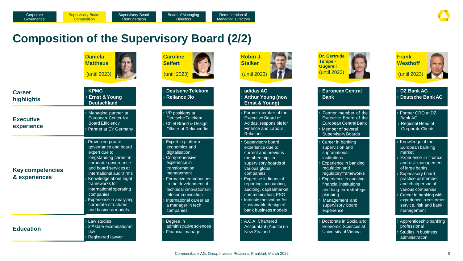## **Composition of the Supervisory Board (2/2)**

|                                          | <b>Daniela</b><br><b>Mattheus</b><br>(until 2023)                                                                                                                                                                                                                                                                                       | <b>Caroline</b><br><b>Seifert</b><br>(until 2023)                                                                                                                                                                                                                                                      | <b>Robin J.</b><br><b>Stalker</b><br>(until 2023)                                                                                                                                                                                                                                                                                 | <b>Dr. Gertrude</b><br><b>Tumpel-</b><br>Gugerell<br>(until 2023)                                                                                                                                                                                                                         | <b>Frank</b><br><b>Westhoff</b><br>(until 2023)                                                                                                                                                                                                                                                                |
|------------------------------------------|-----------------------------------------------------------------------------------------------------------------------------------------------------------------------------------------------------------------------------------------------------------------------------------------------------------------------------------------|--------------------------------------------------------------------------------------------------------------------------------------------------------------------------------------------------------------------------------------------------------------------------------------------------------|-----------------------------------------------------------------------------------------------------------------------------------------------------------------------------------------------------------------------------------------------------------------------------------------------------------------------------------|-------------------------------------------------------------------------------------------------------------------------------------------------------------------------------------------------------------------------------------------------------------------------------------------|----------------------------------------------------------------------------------------------------------------------------------------------------------------------------------------------------------------------------------------------------------------------------------------------------------------|
| <b>Career</b><br>highlights              | $\rightarrow$ KPMG<br><b>Ernst &amp; Young</b><br><b>Deutschland</b>                                                                                                                                                                                                                                                                    | > Deutsche Telekom<br>> Reliance Jio                                                                                                                                                                                                                                                                   | $\rightarrow$ adidas AG<br><b>Arthur Young (now</b><br>Ernst & Young)                                                                                                                                                                                                                                                             | <b>European Central</b><br><b>Bank</b>                                                                                                                                                                                                                                                    | > DZ Bank AG<br>> Deutsche Bank AG                                                                                                                                                                                                                                                                             |
| <b>Executive</b><br>experience           | Managing partner at<br>European Center for<br><b>Board Efficiency</b><br>Partner at EY Germany                                                                                                                                                                                                                                          | > VP positions at<br>Deutsche Telekom<br>> Chief Brand & Design<br>Officer at RelianceJio                                                                                                                                                                                                              | Former member of the<br><b>Executive Board of</b><br>Adidas, responsible for<br><b>Finance and Labour</b><br><b>Relations</b>                                                                                                                                                                                                     | Former member of the<br>Executive Board of the<br>European Central Bank<br>Member of several<br><b>Supervisory Boards</b>                                                                                                                                                                 | > Former CRO at DZ<br>Bank AG<br>> Regional Head of<br>Corporate Clients                                                                                                                                                                                                                                       |
| <b>Key competencies</b><br>& experiences | > Proven corporate<br>governance and board<br>expert due to<br>longstanding career in<br>corporate governance<br>and board services at<br>international audit firms<br>Knowledge about legal<br>frameworks for<br>international operating<br>companies<br><b>Experience in analyzing</b><br>corporate structures<br>and business models | > Expert in platform<br>economics and<br>digitalisation<br><b>Comprehensive</b><br>experience in<br>transformation<br>management<br>> Formative contributions<br>to the development of<br>technical innovations in<br>telecommunication<br>> International career as<br>a manager in tech<br>companies | Supervisory board<br>experience due to<br>current and previous<br>memberships in<br>supervisory boards of<br>various global<br>companies<br><b>Expertise in financial</b><br>reporting, accounting,<br>auditing, capitalmarket<br>communication, ESG<br>Intrinsic motivation for<br>sustainable design of<br>bank business models | Career in banking<br>supervision and<br>supranational<br>institutions<br>Experience in banking<br>regulation and<br>regulatory frameworks<br>Experience in auditing<br>financial institutions<br>and long-term strategic<br>planning<br>Management and<br>supervisory board<br>experience | > Knowledge of the<br>European banking<br>market<br>Experience in finance<br>and risk management<br>of large banks<br>> Supervisory board<br>practice as member<br>and chairperson of<br>various companies<br>$\cdot$ Career in banking with<br>experience in customer<br>service, risk and bank<br>management |
| <b>Education</b>                         | > Law studies<br>2 <sup>nd</sup> state examinationin<br>law<br>> Registered lawyer                                                                                                                                                                                                                                                      | > Degree in<br>administrative sciences<br>> Financial manage                                                                                                                                                                                                                                           | > A.C.A. Chartered<br>Accountant (Auditor) in<br>New Zealand                                                                                                                                                                                                                                                                      | Doctorate in Social and<br>Economic Sciences at<br>University of Vienna                                                                                                                                                                                                                   | > Apprenticeship banking<br>professional<br><b>Studies in business</b><br>administration                                                                                                                                                                                                                       |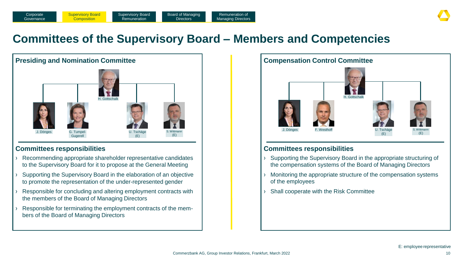

## **Committees of the Supervisory Board – Members and Competencies**



### **Committees responsibilities**

- Recommending appropriate shareholder representative candidates to the Supervisory Board for it to propose at the General Meeting
- Supporting the Supervisory Board in the elaboration of an objective to promote the representation of the under-represented gender
- Responsible for concluding and altering employment contracts with the members of the Board of Managing Directors
- Responsible for terminating the employment contracts of the members of the Board of Managing Directors



### **Committees responsibilities**

- › Supporting the Supervisory Board in the appropriate structuring of the compensation systems of the Board of Managing Directors
- Monitoring the appropriate structure of the compensation systems of the employees
- › Shall cooperate with the Risk Committee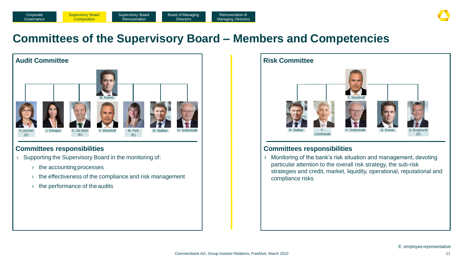

### **Committees of the Supervisory Board – Members and Competencies**



### **Committees responsibilities**

- › Supporting the Supervisory Board in the monitoring of:
	- › the accounting processes
	- › the effectiveness of the compliance and risk management
	- $\rightarrow$  the performance of the audits



### **Committees responsibilities**

› Monitoring of the bank's risk situation and management, devoting particular attention to the overall risk strategy, the sub-risk strategies and credit, market, liquidity, operational, reputational and compliance risks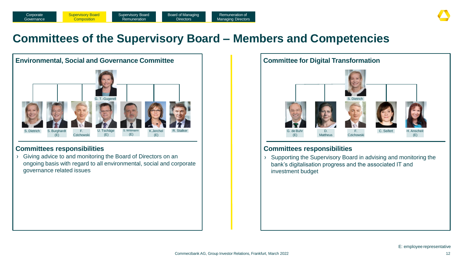

## **Committees of the Supervisory Board – Members and Competencies**



› Giving advice to and monitoring the Board of Directors on an ongoing basis with regard to all environmental, social and corporate governance related issues



### **Committees responsibilities Committees responsibilities**

› Supporting the Supervisory Board in advising and monitoring the bank's digitalisation progress and the associated IT and investment budget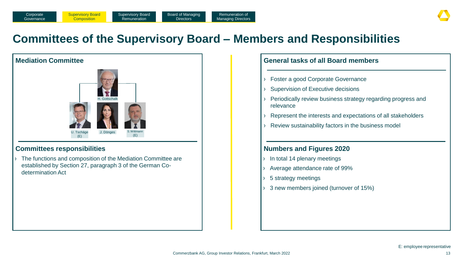## **Committees of the Supervisory Board – Members and Responsibilities**



### **Committees responsibilities**

› The functions and composition of the Mediation Committee are established by Section 27, paragraph 3 of the German Codetermination Act

| $\rightarrow$          | Foster a good Corporate Governance                                        |
|------------------------|---------------------------------------------------------------------------|
| $\lambda$              | <b>Supervision of Executive decisions</b>                                 |
| $\sum_{i=1}^{n}$       | Periodically review business strategy regarding progress and<br>relevance |
| $\rightarrow$          | Represent the interests and expectations of all stakeholders              |
| $\sum_{i=1}^{n}$       | Review sustainability factors in the business model                       |
|                        |                                                                           |
|                        | <b>Numbers and Figures 2020</b>                                           |
| Σ                      | In total 14 plenary meetings                                              |
|                        | Average attendance rate of 99%                                            |
|                        |                                                                           |
| $\lambda$<br>$\lambda$ | 5 strategy meetings                                                       |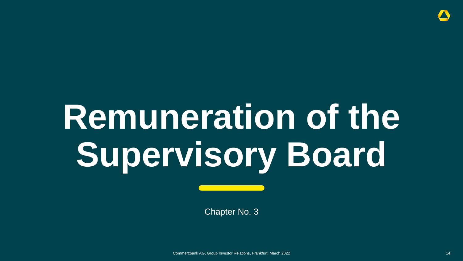# **Remuneration of the Supervisory Board**

Chapter No. 3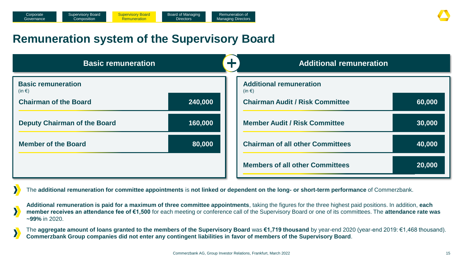## **Remuneration system of the Supervisory Board**

| <b>Basic remuneration</b>               |         | ᆚᄂ | <b>Additional remuneration</b>               |        |  |
|-----------------------------------------|---------|----|----------------------------------------------|--------|--|
| <b>Basic remuneration</b><br>$(in \in)$ |         |    | <b>Additional remuneration</b><br>$(in \in)$ |        |  |
| <b>Chairman of the Board</b>            | 240,000 |    | <b>Chairman Audit / Risk Committee</b>       | 60,000 |  |
| <b>Deputy Chairman of the Board</b>     | 160,000 |    | <b>Member Audit / Risk Committee</b>         | 30,000 |  |
| <b>Member of the Board</b>              | 80,000  |    | <b>Chairman of all other Committees</b>      | 40,000 |  |
|                                         |         |    | <b>Members of all other Committees</b>       | 20,000 |  |

The **additional remuneration for committee appointments** is **not linked or dependent on the long- or short-term performance** of Commerzbank.

**Additional remuneration is paid for a maximum of three committee appointments**, taking the figures for the three highest paid positions. In addition, **each member receives an attendance fee of €1,500** for each meeting or conference call of the Supervisory Board or one of its committees. The **attendance rate was ~99%** in 2020.

The **aggregate amount of loans granted to the members of the Supervisory Board** was **€1,719 thousand** by year-end 2020 (year-end 2019: €1,468 thousand). **Commerzbank Group companies did not enter any contingent liabilities in favor of members of the Supervisory Board**.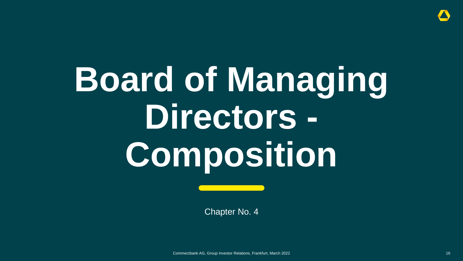

## **Board of Managing Directors - Composition**

Chapter No. 4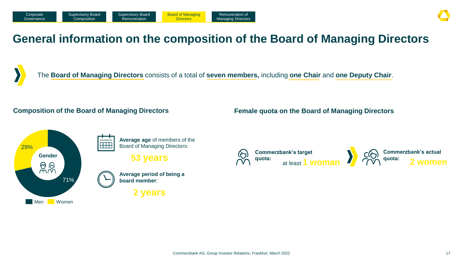## **General information on the composition of the Board of Managing Directors**



The **Board of Managing Directors** consists of a total of **seven members,** including **one Chair** and **one Deputy Chair**.

### **Composition of the Board of Managing Directors**



**Average age** of members of the **HHH** Board of Managing Directors:

**53 years**



**2 years**

**Female quota on the Board of Managing Directors**

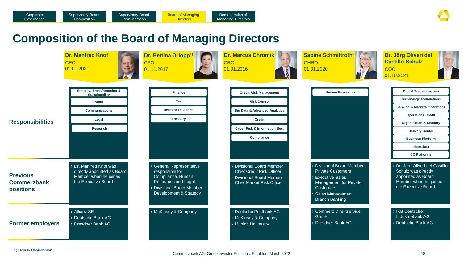## **Composition of the Board of Managing Directors**

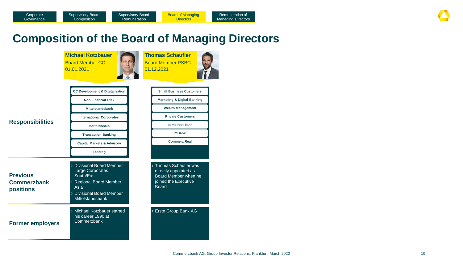## **Composition of the Board of Managing Directors**

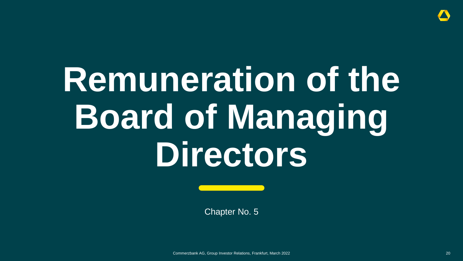

## **Remuneration of the Board of Managing Directors**

Chapter No. 5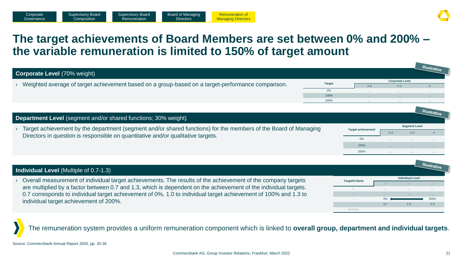## **The target achievements of Board Members are set between 0% and 200% – the variable remuneration is limited to 150% of target amount**

|                                                                                                                                                                                                                                                                                                                                                                                                                                  |               |                           |                        |                         | <b>Illustrative</b> |
|----------------------------------------------------------------------------------------------------------------------------------------------------------------------------------------------------------------------------------------------------------------------------------------------------------------------------------------------------------------------------------------------------------------------------------|---------------|---------------------------|------------------------|-------------------------|---------------------|
| <b>Corporate Level (70% weight)</b>                                                                                                                                                                                                                                                                                                                                                                                              |               |                           |                        |                         |                     |
|                                                                                                                                                                                                                                                                                                                                                                                                                                  | <b>Target</b> |                           | <b>Corporate Level</b> |                         |                     |
| Weighted average of target achievement based on a group-based on a target-performance comparison.                                                                                                                                                                                                                                                                                                                                |               | $n-2$                     | $n-1$                  |                         | n                   |
|                                                                                                                                                                                                                                                                                                                                                                                                                                  | 0%<br>100%    |                           |                        |                         |                     |
|                                                                                                                                                                                                                                                                                                                                                                                                                                  | 200%          |                           |                        |                         |                     |
|                                                                                                                                                                                                                                                                                                                                                                                                                                  |               |                           |                        |                         |                     |
|                                                                                                                                                                                                                                                                                                                                                                                                                                  |               |                           |                        |                         | <b>Illustrative</b> |
| Department Level (segment and/or shared functions; 30% weight)                                                                                                                                                                                                                                                                                                                                                                   |               |                           |                        |                         |                     |
|                                                                                                                                                                                                                                                                                                                                                                                                                                  |               |                           | <b>Segment Level</b>   |                         |                     |
| Target achievement by the department (segment and/or shared functions) for the members of the Board of Managing<br>Directors in question is responsible on quantitative and/or qualitative targets.                                                                                                                                                                                                                              |               | <b>Target achievement</b> | $n-2$                  | $n-1$                   |                     |
|                                                                                                                                                                                                                                                                                                                                                                                                                                  |               | 0%                        |                        |                         |                     |
|                                                                                                                                                                                                                                                                                                                                                                                                                                  |               | 100%                      |                        |                         |                     |
|                                                                                                                                                                                                                                                                                                                                                                                                                                  |               | 200%                      | $\sim$ $\sim$ $\sim$   | $\ldots$                |                     |
|                                                                                                                                                                                                                                                                                                                                                                                                                                  |               |                           |                        |                         |                     |
|                                                                                                                                                                                                                                                                                                                                                                                                                                  |               |                           |                        |                         | Illustrative        |
| <b>Individual Level (Multiple of 0.7-1.3)</b>                                                                                                                                                                                                                                                                                                                                                                                    |               |                           |                        |                         |                     |
| Overall measurement of individual target achievements. The results of the achievement of the company targets                                                                                                                                                                                                                                                                                                                     |               | <b>Target/Criteria</b>    |                        | <b>Individual Level</b> |                     |
| are multiplied by a factor between 0.7 and 1.3, which is dependent on the achievement of the individual targets.                                                                                                                                                                                                                                                                                                                 |               |                           |                        |                         |                     |
|                                                                                                                                                                                                                                                                                                                                                                                                                                  |               |                           |                        |                         |                     |
| 0.7 corresponds to individual target achievement of 0%, 1.0 to individual target achievement of 100% and 1.3 to<br>$\frac{1}{2}$ and $\frac{1}{2}$ and $\frac{1}{2}$ is a set of $\frac{1}{2}$ and $\frac{1}{2}$ and $\frac{1}{2}$ $\frac{1}{2}$ $\frac{1}{2}$ $\frac{1}{2}$ $\frac{1}{2}$ $\frac{1}{2}$ $\frac{1}{2}$ $\frac{1}{2}$ $\frac{1}{2}$ $\frac{1}{2}$ $\frac{1}{2}$ $\frac{1}{2}$ $\frac{1}{2}$ $\frac{1}{2}$ $\frac$ |               |                           |                        |                         | 200%                |

The remuneration system provides a uniform remuneration component which is linked to **overall group, department and individual targets**.

individual target achievement of 200%.

**Sum 1.3 0.7 1.0 1.3** 

**Multiple**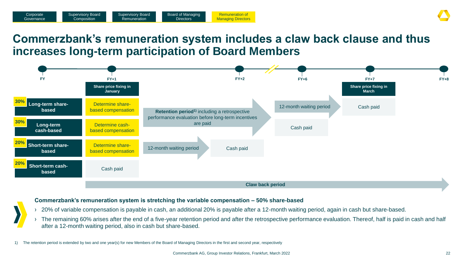## **Commerzbank's remuneration system includes a claw back clause and thus increases long-term participation of Board Members**



### **Commerzbank's remuneration system is stretching the variable compensation – 50% share-based**

- › 20% of variable compensation is payable in cash, an additional 20% is payable after a 12-month waiting period, again in cash but share-based.
- › The remaining 60% arises after the end of a five-year retention period and after the retrospective performance evaluation. Thereof, half is paid in cash and half after a 12-month waiting period, also in cash but share-based.
- 1) The retention period is extended by two and one year(s) for new Members of the Board of Managing Directors in the first and second year, respectively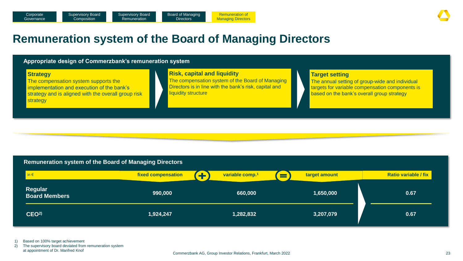## **Remuneration system of the Board of Managing Directors**

#### **Appropriate design of Commerzbank's remuneration system Strategy** The compensation system supports the implementation and execution of the bank's strategy and is aligned with the overall group risk strategy **Risk, capital and liquidity** The compensation system of the Board of Managing Directors is in line with the bank's risk, capital and liquidity structure **Target setting** The annual setting of group-wide and individual targets for variable compensation components is based on the bank's overall group strategy

### **Remuneration system of the Board of Managing Directors**

| $\ln \epsilon$                         | fixed compensation | variable comp. <sup>1</sup> | target amount<br>▀ | <b>Ratio variable / fix</b> |
|----------------------------------------|--------------------|-----------------------------|--------------------|-----------------------------|
| <b>Regular</b><br><b>Board Members</b> | 990,000            | 660,000                     | 1,650,000          | 0.67                        |
| CEO <sup>2</sup>                       | 1,924,247          | 1,282,832                   | 3,207,079          | 0.67                        |

1) Based on 100% target achievement

2) The supervisory board deviated from remuneration system at appointment of Dr. Manfred Knof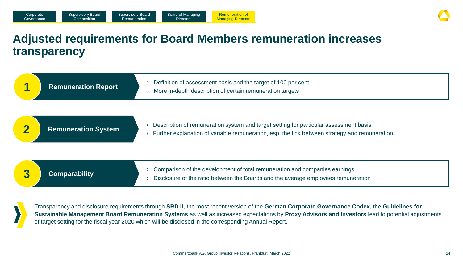## **Adjusted requirements for Board Members remuneration increases transparency**

| <b>Remuneration Report</b> | Definition of assessment basis and the target of 100 per cent<br>More in-depth description of certain remuneration targets                                                             |
|----------------------------|----------------------------------------------------------------------------------------------------------------------------------------------------------------------------------------|
| <b>Remuneration System</b> | Description of remuneration system and target setting for particular assessment basis<br>Further explanation of variable remuneration, esp. the link between strategy and remuneration |
| <b>Comparability</b>       | Comparison of the development of total remuneration and companies earnings<br>Disclosure of the ratio between the Boards and the average employees remuneration                        |

Transparency and disclosure requirements through **SRD II**, the most recent version of the **German Corporate Governance Codex**, the **Guidelines for Sustainable Management Board Remuneration Systems** as well as increased expectations by **Proxy Advisors and Investors** lead to potential adjustments of target setting for the fiscal year 2020 which will be disclosed in the corresponding Annual Report.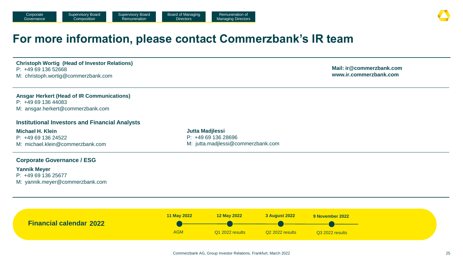### **For more information, please contact Commerzbank's IR team**

**Christoph Wortig (Head of Investor Relations)** P: +49 69 136 52668 M: christoph.wortig@commerzbank.com

**Mail: ir@commerzbank.com www.ir.commerzbank.com**

#### **Ansgar Herkert (Head of IR Communications)** P: +49 69 136 44083 M: ansgar.herkert@commerzbank.com

### **Institutional Investors and Financial Analysts**

**Michael H. Klein**  $P: +496913624522$ M: michael.klein@commerzbank.com

**Jutta Madjlessi** P: +49 69 136 28696 M: jutta.madjlessi@commerzbank.com

### **Corporate Governance / ESG**

#### **Yannik Meyer**

P: +49 69 136 25677 M: yannik.meyer@commerzbank.com